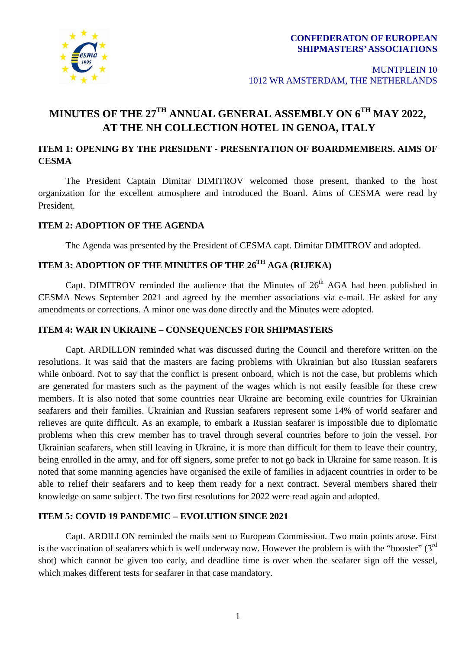

# **MINUTES OF THE 27TH ANNUAL GENERAL ASSEMBLY ON 6TH MAY 2022, AT THE NH COLLECTION HOTEL IN GENOA, ITALY**

## **ITEM 1: OPENING BY THE PRESIDENT - PRESENTATION OF BOARDMEMBERS. AIMS OF CESMA**

The President Captain Dimitar DIMITROV welcomed those present, thanked to the host organization for the excellent atmosphere and introduced the Board. Aims of CESMA were read by President.

### **ITEM 2: ADOPTION OF THE AGENDA**

The Agenda was presented by the President of CESMA capt. Dimitar DIMITROV and adopted.

# **ITEM 3: ADOPTION OF THE MINUTES OF THE 26TH AGA (RIJEKA)**

Capt. DIMITROV reminded the audience that the Minutes of  $26<sup>th</sup> AGA$  had been published in CESMA News September 2021 and agreed by the member associations via e-mail. He asked for any amendments or corrections. A minor one was done directly and the Minutes were adopted.

### **ITEM 4: WAR IN UKRAINE – CONSEQUENCES FOR SHIPMASTERS**

Capt. ARDILLON reminded what was discussed during the Council and therefore written on the resolutions. It was said that the masters are facing problems with Ukrainian but also Russian seafarers while onboard. Not to say that the conflict is present onboard, which is not the case, but problems which are generated for masters such as the payment of the wages which is not easily feasible for these crew members. It is also noted that some countries near Ukraine are becoming exile countries for Ukrainian seafarers and their families. Ukrainian and Russian seafarers represent some 14% of world seafarer and relieves are quite difficult. As an example, to embark a Russian seafarer is impossible due to diplomatic problems when this crew member has to travel through several countries before to join the vessel. For Ukrainian seafarers, when still leaving in Ukraine, it is more than difficult for them to leave their country, being enrolled in the army, and for off signers, some prefer to not go back in Ukraine for same reason. It is noted that some manning agencies have organised the exile of families in adjacent countries in order to be able to relief their seafarers and to keep them ready for a next contract. Several members shared their knowledge on same subject. The two first resolutions for 2022 were read again and adopted.

### **ITEM 5: COVID 19 PANDEMIC – EVOLUTION SINCE 2021**

Capt. ARDILLON reminded the mails sent to European Commission. Two main points arose. First is the vaccination of seafarers which is well underway now. However the problem is with the "booster"  $(3<sup>rd</sup>$ shot) which cannot be given too early, and deadline time is over when the seafarer sign off the vessel, which makes different tests for seafarer in that case mandatory.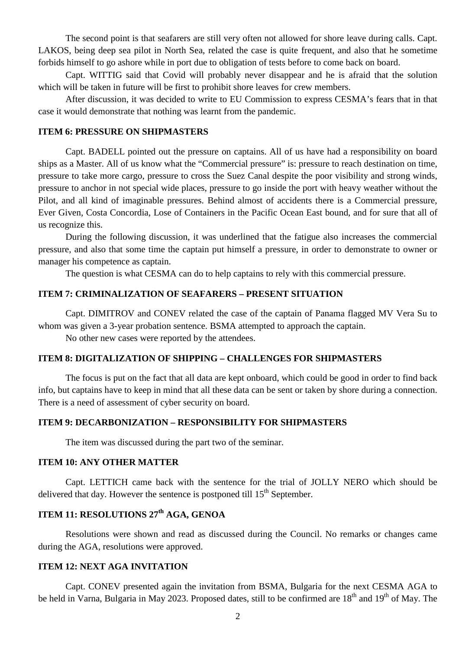The second point is that seafarers are still very often not allowed for shore leave during calls. Capt. LAKOS, being deep sea pilot in North Sea, related the case is quite frequent, and also that he sometime forbids himself to go ashore while in port due to obligation of tests before to come back on board.

Capt. WITTIG said that Covid will probably never disappear and he is afraid that the solution which will be taken in future will be first to prohibit shore leaves for crew members.

After discussion, it was decided to write to EU Commission to express CESMA's fears that in that case it would demonstrate that nothing was learnt from the pandemic.

### **ITEM 6: PRESSURE ON SHIPMASTERS**

Capt. BADELL pointed out the pressure on captains. All of us have had a responsibility on board ships as a Master. All of us know what the "Commercial pressure" is: pressure to reach destination on time, pressure to take more cargo, pressure to cross the Suez Canal despite the poor visibility and strong winds, pressure to anchor in not special wide places, pressure to go inside the port with heavy weather without the Pilot, and all kind of imaginable pressures. Behind almost of accidents there is a Commercial pressure, Ever Given, Costa Concordia, Lose of Containers in the Pacific Ocean East bound, and for sure that all of us recognize this.

During the following discussion, it was underlined that the fatigue also increases the commercial pressure, and also that some time the captain put himself a pressure, in order to demonstrate to owner or manager his competence as captain.

The question is what CESMA can do to help captains to rely with this commercial pressure.

#### **ITEM 7: CRIMINALIZATION OF SEAFARERS – PRESENT SITUATION**

Capt. DIMITROV and CONEV related the case of the captain of Panama flagged MV Vera Su to whom was given a 3-year probation sentence. BSMA attempted to approach the captain.

No other new cases were reported by the attendees.

#### **ITEM 8: DIGITALIZATION OF SHIPPING – CHALLENGES FOR SHIPMASTERS**

The focus is put on the fact that all data are kept onboard, which could be good in order to find back info, but captains have to keep in mind that all these data can be sent or taken by shore during a connection. There is a need of assessment of cyber security on board.

#### **ITEM 9: DECARBONIZATION – RESPONSIBILITY FOR SHIPMASTERS**

The item was discussed during the part two of the seminar.

#### **ITEM 10: ANY OTHER MATTER**

Capt. LETTICH came back with the sentence for the trial of JOLLY NERO which should be delivered that day. However the sentence is postponed till  $15<sup>th</sup>$  September.

# **ITEM 11: RESOLUTIONS 27th AGA, GENOA**

Resolutions were shown and read as discussed during the Council. No remarks or changes came during the AGA, resolutions were approved.

#### **ITEM 12: NEXT AGA INVITATION**

Capt. CONEV presented again the invitation from BSMA, Bulgaria for the next CESMA AGA to be held in Varna, Bulgaria in May 2023. Proposed dates, still to be confirmed are 18<sup>th</sup> and 19<sup>th</sup> of May. The